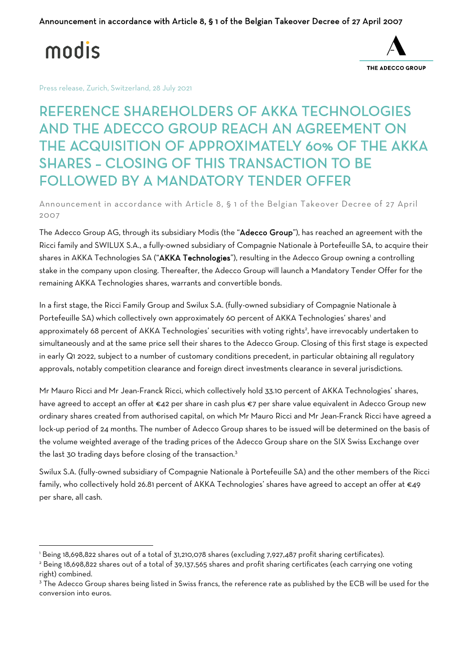modis



Press release, Zurich, Switzerland, 28 July 2021

REFERENCE SHAREHOLDERS OF AKKA TECHNOLOGIES AND THE ADECCO GROUP REACH AN AGREEMENT ON THE ACQUISITION OF APPROXIMATELY 60% OF THE AKKA SHARES – CLOSING OF THIS TRANSACTION TO BE FOLLOWED BY A MANDATORY TENDER OFFER

Announcement in accordance with Article 8, § 1 of the Belgian Takeover Decree of 27 April 2007

The Adecco Group AG, through its subsidiary Modis (the "Adecco Group"), has reached an agreement with the Ricci family and SWILUX S.A., a fully-owned subsidiary of Compagnie Nationale à Portefeuille SA, to acquire their shares in AKKA Technologies SA ("AKKA Technologies"), resulting in the Adecco Group owning a controlling stake in the company upon closing. Thereafter, the Adecco Group will launch a Mandatory Tender Offer for the remaining AKKA Technologies shares, warrants and convertible bonds.

In a first stage, the Ricci Family Group and Swilux S.A. (fully-owned subsidiary of Compagnie Nationale à Portefeuille SA) which collectively own approximately 60 percent of AKKA Technologies' shares' and approximately 68 percent of AKKA Technologies' securities with voting rights<sup>2</sup>, have irrevocably undertaken to simultaneously and at the same price sell their shares to the Adecco Group. Closing of this first stage is expected in early Q1 2022, subject to a number of customary conditions precedent, in particular obtaining all regulatory approvals, notably competition clearance and foreign direct investments clearance in several jurisdictions.

Mr Mauro Ricci and Mr Jean-Franck Ricci, which collectively hold 33.10 percent of AKKA Technologies' shares, have agreed to accept an offer at €42 per share in cash plus €7 per share value equivalent in Adecco Group new ordinary shares created from authorised capital, on which Mr Mauro Ricci and Mr Jean-Franck Ricci have agreed a lock-up period of 24 months. The number of Adecco Group shares to be issued will be determined on the basis of the volume weighted average of the trading prices of the Adecco Group share on the SIX Swiss Exchange over the last 30 trading days before closing of the transaction.<sup>3</sup>

Swilux S.A. (fully-owned subsidiary of Compagnie Nationale à Portefeuille SA) and the other members of the Ricci family, who collectively hold 26.81 percent of AKKA Technologies' shares have agreed to accept an offer at €49 per share, all cash.

<sup>1</sup> Being 18,698,822 shares out of a total of 31,210,078 shares (excluding 7,927,487 profit sharing certificates).

<sup>2</sup> Being 18,698,822 shares out of a total of 39,137,565 shares and profit sharing certificates (each carrying one voting right) combined.

<sup>&</sup>lt;sup>3</sup> The Adecco Group shares being listed in Swiss francs, the reference rate as published by the ECB will be used for the conversion into euros.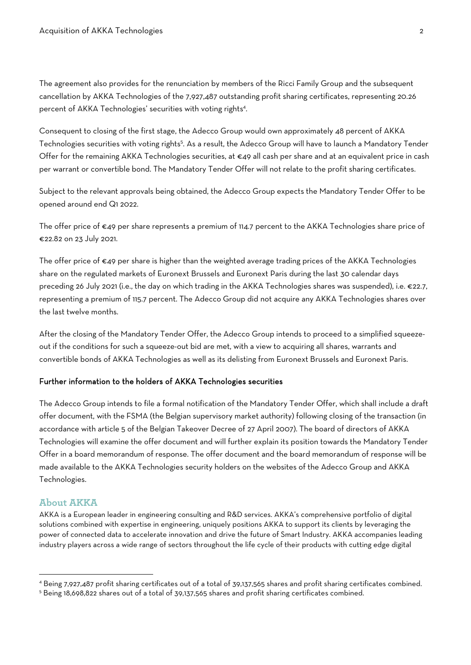The agreement also provides for the renunciation by members of the Ricci Family Group and the subsequent cancellation by AKKA Technologies of the 7,927,487 outstanding profit sharing certificates, representing 20.26 percent of AKKA Technologies' securities with voting rights4 .

Consequent to closing of the first stage, the Adecco Group would own approximately 48 percent of AKKA Technologies securities with voting rights<sup>5</sup>. As a result, the Adecco Group will have to launch a Mandatory Tender Offer for the remaining AKKA Technologies securities, at €49 all cash per share and at an equivalent price in cash per warrant or convertible bond. The Mandatory Tender Offer will not relate to the profit sharing certificates.

Subject to the relevant approvals being obtained, the Adecco Group expects the Mandatory Tender Offer to be opened around end Q1 2022.

The offer price of €49 per share represents a premium of 114.7 percent to the AKKA Technologies share price of €22.82 on 23 July 2021.

The offer price of  $\epsilon$ 49 per share is higher than the weighted average trading prices of the AKKA Technologies share on the regulated markets of Euronext Brussels and Euronext Paris during the last 30 calendar days preceding 26 July 2021 (i.e., the day on which trading in the AKKA Technologies shares was suspended), i.e. €22.7, representing a premium of 115.7 percent. The Adecco Group did not acquire any AKKA Technologies shares over the last twelve months.

After the closing of the Mandatory Tender Offer, the Adecco Group intends to proceed to a simplified squeezeout if the conditions for such a squeeze-out bid are met, with a view to acquiring all shares, warrants and convertible bonds of AKKA Technologies as well as its delisting from Euronext Brussels and Euronext Paris.

#### Further information to the holders of AKKA Technologies securities

The Adecco Group intends to file a formal notification of the Mandatory Tender Offer, which shall include a draft offer document, with the FSMA (the Belgian supervisory market authority) following closing of the transaction (in accordance with article 5 of the Belgian Takeover Decree of 27 April 2007). The board of directors of AKKA Technologies will examine the offer document and will further explain its position towards the Mandatory Tender Offer in a board memorandum of response. The offer document and the board memorandum of response will be made available to the AKKA Technologies security holders on the websites of the Adecco Group and AKKA Technologies.

### **About AKKA**

AKKA is a European leader in engineering consulting and R&D services. AKKA's comprehensive portfolio of digital solutions combined with expertise in engineering, uniquely positions AKKA to support its clients by leveraging the power of connected data to accelerate innovation and drive the future of Smart Industry. AKKA accompanies leading industry players across a wide range of sectors throughout the life cycle of their products with cutting edge digital

<sup>4</sup> Being 7,927,487 profit sharing certificates out of a total of 39,137,565 shares and profit sharing certificates combined.

<sup>5</sup> Being 18,698,822 shares out of a total of 39,137,565 shares and profit sharing certificates combined.